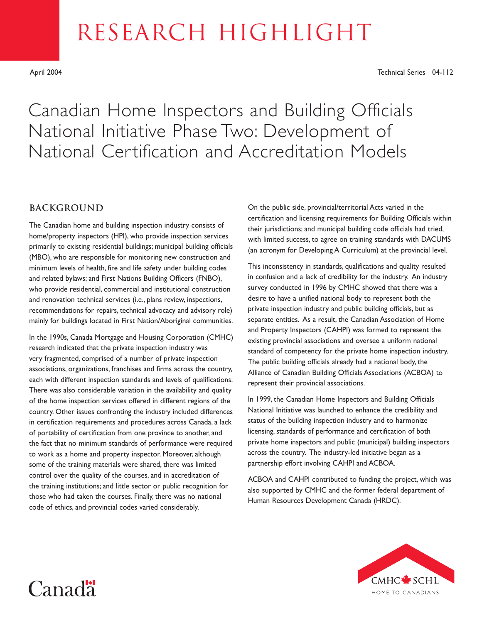# RESEARCH HIGHLIGHT

April 2004 Technical Series 04-112

## Canadian Home Inspectors and Building Officials National Initiative Phase Two: Development of National Certification and Accreditation Models

#### **BACKGROUND**

The Canadian home and building inspection industry consists of home/property inspectors (HPI), who provide inspection services primarily to existing residential buildings; municipal building officials (MBO), who are responsible for monitoring new construction and minimum levels of health, fire and life safety under building codes and related bylaws; and First Nations Building Officers (FNBO), who provide residential, commercial and institutional construction and renovation technical services (i.e., plans review, inspections, recommendations for repairs, technical advocacy and advisory role) mainly for buildings located in First Nation/Aboriginal communities.

In the 1990s, Canada Mortgage and Housing Corporation (CMHC) research indicated that the private inspection industry was very fragmented, comprised of a number of private inspection associations, organizations, franchises and firms across the country, each with different inspection standards and levels of qualifications. There was also considerable variation in the availability and quality of the home inspection services offered in different regions of the country. Other issues confronting the industry included differences in certification requirements and procedures across Canada, a lack of portability of certification from one province to another, and the fact that no minimum standards of performance were required to work as a home and property inspector. Moreover, although some of the training materials were shared, there was limited control over the quality of the courses, and in accreditation of the training institutions; and little sector or public recognition for those who had taken the courses. Finally, there was no national code of ethics, and provincial codes varied considerably.

On the public side, provincial/territorial Acts varied in the certification and licensing requirements for Building Officials within their jurisdictions; and municipal building code officials had tried, with limited success, to agree on training standards with DACUMS (an acronym for Developing A Curriculum) at the provincial level.

This inconsistency in standards, qualifications and quality resulted in confusion and a lack of credibility for the industry. An industry survey conducted in 1996 by CMHC showed that there was a desire to have a unified national body to represent both the private inspection industry and public building officials, but as separate entities. As a result, the Canadian Association of Home and Property Inspectors (CAHPI) was formed to represent the existing provincial associations and oversee a uniform national standard of competency for the private home inspection industry. The public building officials already had a national body, the Alliance of Canadian Building Officials Associations (ACBOA) to represent their provincial associations.

In 1999, the Canadian Home Inspectors and Building Officials National Initiative was launched to enhance the credibility and status of the building inspection industry and to harmonize licensing, standards of performance and certification of both private home inspectors and public (municipal) building inspectors across the country. The industry-led initiative began as a partnership effort involving CAHPI and ACBOA.

ACBOA and CAHPI contributed to funding the project, which was also supported by CMHC and the former federal department of Human Resources Development Canada (HRDC).



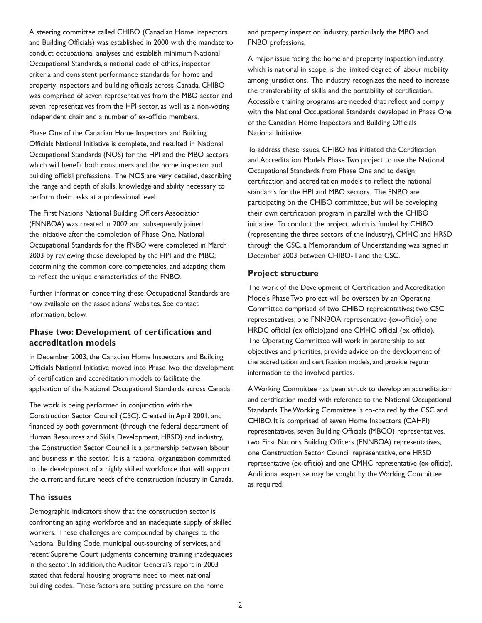A steering committee called CHIBO (Canadian Home Inspectors and Building Officials) was established in 2000 with the mandate to conduct occupational analyses and establish minimum National Occupational Standards, a national code of ethics, inspector criteria and consistent performance standards for home and property inspectors and building officials across Canada. CHIBO was comprised of seven representatives from the MBO sector and seven representatives from the HPI sector, as well as a non-voting independent chair and a number of ex-officio members.

Phase One of the Canadian Home Inspectors and Building Officials National Initiative is complete, and resulted in National Occupational Standards (NOS) for the HPI and the MBO sectors which will benefit both consumers and the home inspector and building official professions. The NOS are very detailed, describing the range and depth of skills, knowledge and ability necessary to perform their tasks at a professional level.

The First Nations National Building Officers Association (FNNBOA) was created in 2002 and subsequently joined the initiative after the completion of Phase One. National Occupational Standards for the FNBO were completed in March 2003 by reviewing those developed by the HPI and the MBO, determining the common core competencies, and adapting them to reflect the unique characteristics of the FNBO.

Further information concerning these Occupational Standards are now available on the associations' websites. See contact information, below.

#### **Phase two: Development of certification and accreditation models**

In December 2003, the Canadian Home Inspectors and Building Officials National Initiative moved into Phase Two, the development of certification and accreditation models to facilitate the application of the National Occupational Standards across Canada.

The work is being performed in conjunction with the Construction Sector Council (CSC). Created in April 2001, and financed by both government (through the federal department of Human Resources and Skills Development, HRSD) and industry, the Construction Sector Council is a partnership between labour and business in the sector. It is a national organization committed to the development of a highly skilled workforce that will support the current and future needs of the construction industry in Canada.

#### **The issues**

Demographic indicators show that the construction sector is confronting an aging workforce and an inadequate supply of skilled workers. These challenges are compounded by changes to the National Building Code, municipal out-sourcing of services, and recent Supreme Court judgments concerning training inadequacies in the sector. In addition, the Auditor General's report in 2003 stated that federal housing programs need to meet national building codes. These factors are putting pressure on the home

and property inspection industry, particularly the MBO and FNBO professions.

A major issue facing the home and property inspection industry, which is national in scope, is the limited degree of labour mobility among jurisdictions. The industry recognizes the need to increase the transferability of skills and the portability of certification. Accessible training programs are needed that reflect and comply with the National Occupational Standards developed in Phase One of the Canadian Home Inspectors and Building Officials National Initiative.

To address these issues, CHIBO has initiated the Certification and Accreditation Models Phase Two project to use the National Occupational Standards from Phase One and to design certification and accreditation models to reflect the national standards for the HPI and MBO sectors. The FNBO are participating on the CHIBO committee, but will be developing their own certification program in parallel with the CHIBO initiative. To conduct the project, which is funded by CHIBO (representing the three sectors of the industry), CMHC and HRSD through the CSC, a Memorandum of Understanding was signed in December 2003 between CHIBO-II and the CSC.

#### **Project structure**

The work of the Development of Certification and Accreditation Models Phase Two project will be overseen by an Operating Committee comprised of two CHIBO representatives; two CSC representatives; one FNNBOA representative (ex-officio); one HRDC official (ex-officio);and one CMHC official (ex-officio). The Operating Committee will work in partnership to set objectives and priorities, provide advice on the development of the accreditation and certification models, and provide regular information to the involved parties.

A Working Committee has been struck to develop an accreditation and certification model with reference to the National Occupational Standards. The Working Committee is co-chaired by the CSC and CHIBO. It is comprised of seven Home Inspectors (CAHPI) representatives, seven Building Officials (MBCO) representatives, two First Nations Building Officers (FNNBOA) representatives, one Construction Sector Council representative, one HRSD representative (ex-officio) and one CMHC representative (ex-officio). Additional expertise may be sought by the Working Committee as required.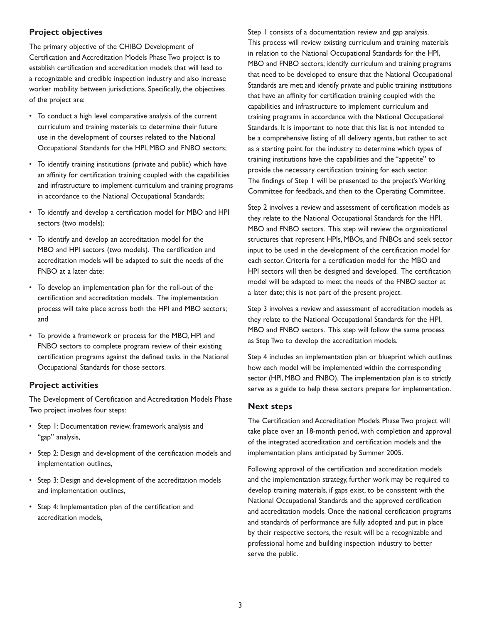#### **Project objectives**

The primary objective of the CHIBO Development of Certification and Accreditation Models Phase Two project is to establish certification and accreditation models that will lead to a recognizable and credible inspection industry and also increase worker mobility between jurisdictions. Specifically, the objectives of the project are:

- To conduct a high level comparative analysis of the current curriculum and training materials to determine their future use in the development of courses related to the National Occupational Standards for the HPI, MBO and FNBO sectors;
- To identify training institutions (private and public) which have an affinity for certification training coupled with the capabilities and infrastructure to implement curriculum and training programs in accordance to the National Occupational Standards;
- To identify and develop a certification model for MBO and HPI sectors (two models);
- To identify and develop an accreditation model for the MBO and HPI sectors (two models). The certification and accreditation models will be adapted to suit the needs of the FNBO at a later date;
- To develop an implementation plan for the roll-out of the certification and accreditation models. The implementation process will take place across both the HPI and MBO sectors; and
- To provide a framework or process for the MBO, HPI and FNBO sectors to complete program review of their existing certification programs against the defined tasks in the National Occupational Standards for those sectors.

#### **Project activities**

The Development of Certification and Accreditation Models Phase Two project involves four steps:

- Step 1: Documentation review, framework analysis and "gap" analysis,
- Step 2: Design and development of the certification models and implementation outlines,
- Step 3: Design and development of the accreditation models and implementation outlines,
- Step 4: Implementation plan of the certification and accreditation models,

Step 1 consists of a documentation review and gap analysis. This process will review existing curriculum and training materials in relation to the National Occupational Standards for the HPI, MBO and FNBO sectors; identify curriculum and training programs that need to be developed to ensure that the National Occupational Standards are met; and identify private and public training institutions that have an affinity for certification training coupled with the capabilities and infrastructure to implement curriculum and training programs in accordance with the National Occupational Standards. It is important to note that this list is not intended to be a comprehensive listing of all delivery agents, but rather to act as a starting point for the industry to determine which types of training institutions have the capabilities and the "appetite" to provide the necessary certification training for each sector. The findings of Step 1 will be presented to the project's Working Committee for feedback, and then to the Operating Committee.

Step 2 involves a review and assessment of certification models as they relate to the National Occupational Standards for the HPI, MBO and FNBO sectors. This step will review the organizational structures that represent HPIs, MBOs, and FNBOs and seek sector input to be used in the development of the certification model for each sector. Criteria for a certification model for the MBO and HPI sectors will then be designed and developed. The certification model will be adapted to meet the needs of the FNBO sector at a later date; this is not part of the present project.

Step 3 involves a review and assessment of accreditation models as they relate to the National Occupational Standards for the HPI, MBO and FNBO sectors. This step will follow the same process as Step Two to develop the accreditation models.

Step 4 includes an implementation plan or blueprint which outlines how each model will be implemented within the corresponding sector (HPI, MBO and FNBO). The implementation plan is to strictly serve as a guide to help these sectors prepare for implementation.

#### **Next steps**

The Certification and Accreditation Models Phase Two project will take place over an 18-month period, with completion and approval of the integrated accreditation and certification models and the implementation plans anticipated by Summer 2005.

Following approval of the certification and accreditation models and the implementation strategy, further work may be required to develop training materials, if gaps exist, to be consistent with the National Occupational Standards and the approved certification and accreditation models. Once the national certification programs and standards of performance are fully adopted and put in place by their respective sectors, the result will be a recognizable and professional home and building inspection industry to better serve the public.